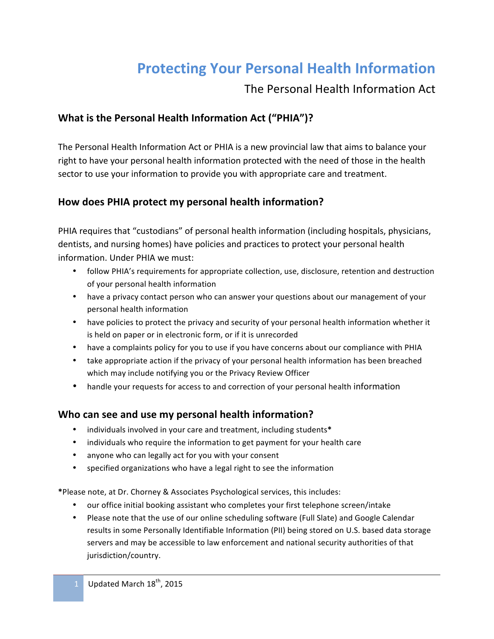## **Protecting Your Personal Health Information**

### The Personal Health Information Act

#### **What is the Personal Health Information Act ("PHIA")?**

The Personal Health Information Act or PHIA is a new provincial law that aims to balance your right to have your personal health information protected with the need of those in the health sector to use your information to provide you with appropriate care and treatment.

#### How does PHIA protect my personal health information?

PHIA requires that "custodians" of personal health information (including hospitals, physicians, dentists, and nursing homes) have policies and practices to protect your personal health information. Under PHIA we must:

- follow PHIA's requirements for appropriate collection, use, disclosure, retention and destruction of your personal health information
- have a privacy contact person who can answer your questions about our management of your personal health information
- have policies to protect the privacy and security of your personal health information whether it is held on paper or in electronic form, or if it is unrecorded
- have a complaints policy for you to use if you have concerns about our compliance with PHIA
- take appropriate action if the privacy of your personal health information has been breached which may include notifying you or the Privacy Review Officer
- handle your requests for access to and correction of your personal health information

#### **Who can see and use my personal health information?**

- individuals involved in your care and treatment, including students\*
- individuals who require the information to get payment for your health care
- anyone who can legally act for you with your consent
- specified organizations who have a legal right to see the information

\*Please note, at Dr. Chorney & Associates Psychological services, this includes:

- our office initial booking assistant who completes your first telephone screen/intake
- Please note that the use of our online scheduling software (Full Slate) and Google Calendar results in some Personally Identifiable Information (PII) being stored on U.S. based data storage servers and may be accessible to law enforcement and national security authorities of that jurisdiction/country.